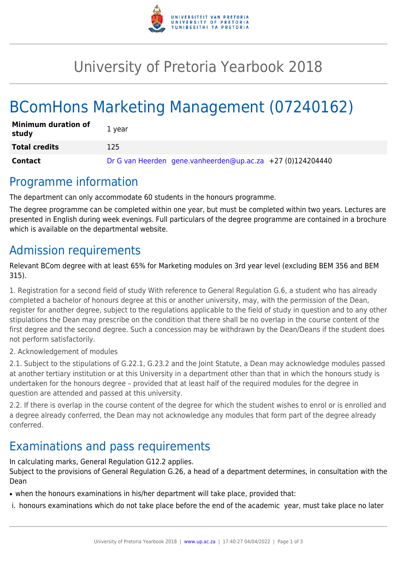

## University of Pretoria Yearbook 2018

# BComHons Marketing Management (07240162)

| <b>Minimum duration of</b><br>study | 1 year                                                     |
|-------------------------------------|------------------------------------------------------------|
| <b>Total credits</b>                | 125                                                        |
| Contact                             | Dr G van Heerden gene.vanheerden@up.ac.za +27 (0)124204440 |

#### Programme information

The department can only accommodate 60 students in the honours programme.

The degree programme can be completed within one year, but must be completed within two years. Lectures are presented in English during week evenings. Full particulars of the degree programme are contained in a brochure which is available on the departmental website.

#### Admission requirements

Relevant BCom degree with at least 65% for Marketing modules on 3rd year level (excluding BEM 356 and BEM 315).

1. Registration for a second field of study With reference to General Regulation G.6, a student who has already completed a bachelor of honours degree at this or another university, may, with the permission of the Dean, register for another degree, subject to the regulations applicable to the field of study in question and to any other stipulations the Dean may prescribe on the condition that there shall be no overlap in the course content of the first degree and the second degree. Such a concession may be withdrawn by the Dean/Deans if the student does not perform satisfactorily.

2. Acknowledgement of modules

2.1. Subject to the stipulations of G.22.1, G.23.2 and the Joint Statute, a Dean may acknowledge modules passed at another tertiary institution or at this University in a department other than that in which the honours study is undertaken for the honours degree – provided that at least half of the required modules for the degree in question are attended and passed at this university.

2.2. If there is overlap in the course content of the degree for which the student wishes to enrol or is enrolled and a degree already conferred, the Dean may not acknowledge any modules that form part of the degree already conferred.

### Examinations and pass requirements

In calculating marks, General Regulation G12.2 applies. Subject to the provisions of General Regulation G.26, a head of a department determines, in consultation with the Dean

• when the honours examinations in his/her department will take place, provided that:

i. honours examinations which do not take place before the end of the academic year, must take place no later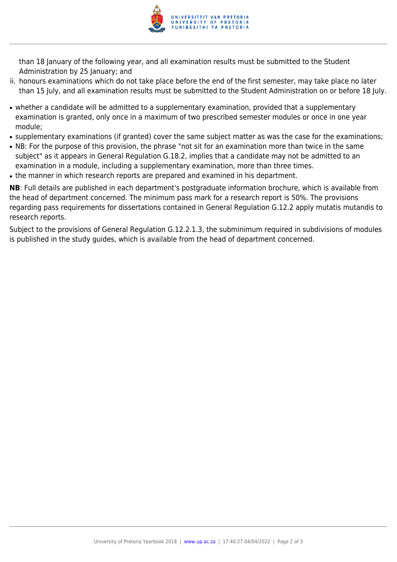

than 18 January of the following year, and all examination results must be submitted to the Student Administration by 25 January; and

- ii. honours examinations which do not take place before the end of the first semester, may take place no later than 15 July, and all examination results must be submitted to the Student Administration on or before 18 July.
- whether a candidate will be admitted to a supplementary examination, provided that a supplementary examination is granted, only once in a maximum of two prescribed semester modules or once in one year module;
- supplementary examinations (if granted) cover the same subject matter as was the case for the examinations;
- NB: For the purpose of this provision, the phrase "not sit for an examination more than twice in the same subject" as it appears in General Regulation G.18.2, implies that a candidate may not be admitted to an examination in a module, including a supplementary examination, more than three times.
- the manner in which research reports are prepared and examined in his department.

**NB**: Full details are published in each department's postgraduate information brochure, which is available from the head of department concerned. The minimum pass mark for a research report is 50%. The provisions regarding pass requirements for dissertations contained in General Regulation G.12.2 apply mutatis mutandis to research reports.

Subject to the provisions of General Regulation G.12.2.1.3, the subminimum required in subdivisions of modules is published in the study guides, which is available from the head of department concerned.